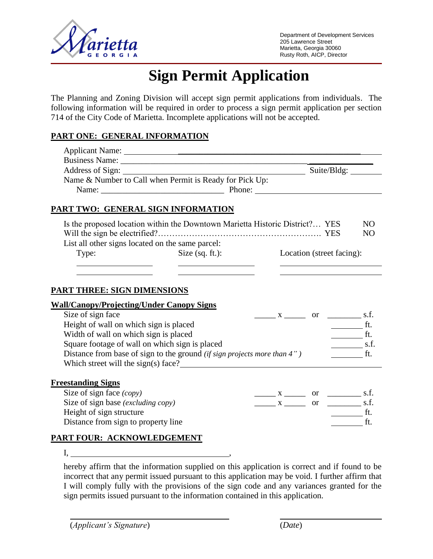

# **Sign Permit Application**

The Planning and Zoning Division will accept sign permit applications from individuals. The following information will be required in order to process a sign permit application per section 714 of the City Code of Marietta. Incomplete applications will not be accepted.

# **PART ONE: GENERAL INFORMATION**

|                                                  | Business Name: 2008                                                      |                                                                              |                                                                   |  |
|--------------------------------------------------|--------------------------------------------------------------------------|------------------------------------------------------------------------------|-------------------------------------------------------------------|--|
|                                                  |                                                                          |                                                                              |                                                                   |  |
|                                                  | Name & Number to Call when Permit is Ready for Pick Up:                  |                                                                              |                                                                   |  |
|                                                  |                                                                          |                                                                              |                                                                   |  |
|                                                  |                                                                          |                                                                              |                                                                   |  |
| PART TWO: GENERAL SIGN INFORMATION               |                                                                          |                                                                              |                                                                   |  |
|                                                  |                                                                          | Is the proposed location within the Downtown Marietta Historic District? YES | N <sub>O</sub>                                                    |  |
|                                                  |                                                                          |                                                                              | N <sub>O</sub>                                                    |  |
| List all other signs located on the same parcel: |                                                                          |                                                                              |                                                                   |  |
| Type:                                            | Size $(sq. ft.)$ :                                                       | Location (street facing):                                                    |                                                                   |  |
|                                                  |                                                                          |                                                                              |                                                                   |  |
|                                                  |                                                                          |                                                                              |                                                                   |  |
|                                                  |                                                                          |                                                                              |                                                                   |  |
| <b>PART THREE: SIGN DIMENSIONS</b>               |                                                                          |                                                                              |                                                                   |  |
| <b>Wall/Canopy/Projecting/Under Canopy Signs</b> |                                                                          |                                                                              |                                                                   |  |
| Size of sign face                                |                                                                          | $X \sim \qquad \text{or} \qquad \qquad$ s.f.                                 |                                                                   |  |
| Height of wall on which sign is placed           |                                                                          |                                                                              | $\frac{1}{\sqrt{1-\frac{1}{2}}}\int_{-\frac{1}{2}}^{\frac{1}{2}}$ |  |
| Width of wall on which sign is placed            |                                                                          |                                                                              | $\frac{1}{\sqrt{1-\frac{1}{2}}}\text{ft}.$                        |  |
| Square footage of wall on which sign is placed   |                                                                          |                                                                              | $\frac{\ }{\ }$ s.f.                                              |  |
|                                                  | Distance from base of sign to the ground (if sign projects more than 4") |                                                                              | $\mathfrak{f}$ t.                                                 |  |
|                                                  |                                                                          | Which street will the sign(s) face?                                          |                                                                   |  |
|                                                  |                                                                          |                                                                              |                                                                   |  |
| <b>Freestanding Signs</b>                        |                                                                          |                                                                              |                                                                   |  |
| Size of sign face (copy)                         |                                                                          | $\frac{X}{1}$ or $\frac{1}{1}$ s.f.                                          |                                                                   |  |
| Size of sign base (excluding copy)               |                                                                          | $\frac{\ }{1}$ x $\frac{\ }{1}$ or $\frac{\ }{1}$ s.f.                       |                                                                   |  |
| Height of sign structure                         |                                                                          |                                                                              | f.t.                                                              |  |
| Distance from sign to property line              |                                                                          |                                                                              | $\frac{1}{\sqrt{1-\frac{1}{2}}}\int_{-\frac{1}{2}}^{\frac{1}{2}}$ |  |
| PART FOUR: ACKNOWLEDGEMENT                       |                                                                          |                                                                              |                                                                   |  |
|                                                  |                                                                          |                                                                              |                                                                   |  |

I, ,

hereby affirm that the information supplied on this application is correct and if found to be incorrect that any permit issued pursuant to this application may be void. I further affirm that I will comply fully with the provisions of the sign code and any variances granted for the sign permits issued pursuant to the information contained in this application.